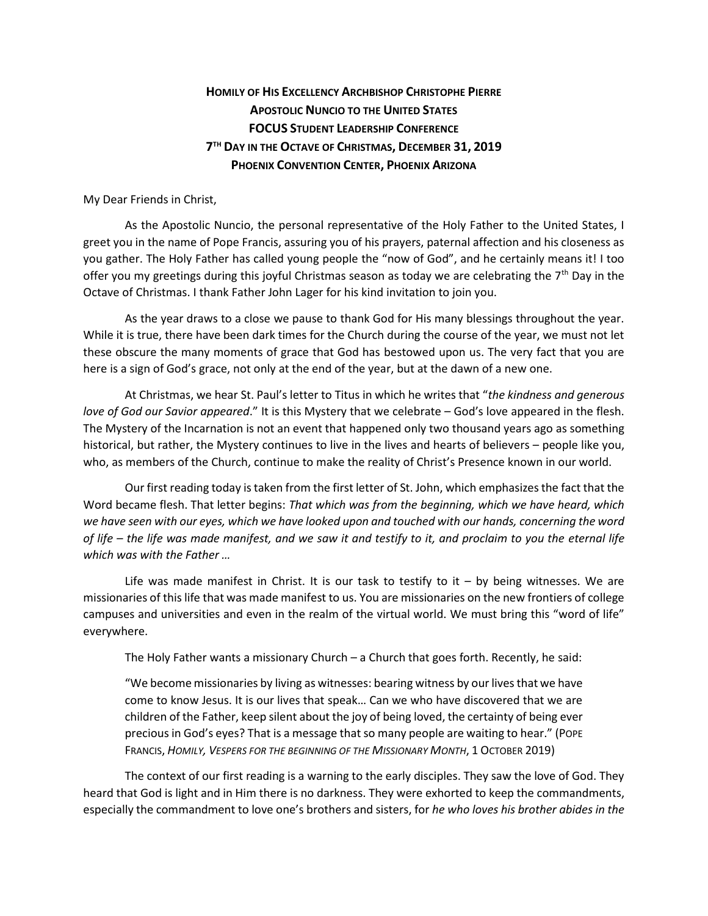## **HOMILY OF HIS EXCELLENCY ARCHBISHOP CHRISTOPHE PIERRE APOSTOLIC NUNCIO TO THE UNITED STATES FOCUS STUDENT LEADERSHIP CONFERENCE 7 TH DAY IN THE OCTAVE OF CHRISTMAS, DECEMBER 31, 2019 PHOENIX CONVENTION CENTER, PHOENIX ARIZONA**

My Dear Friends in Christ,

As the Apostolic Nuncio, the personal representative of the Holy Father to the United States, I greet you in the name of Pope Francis, assuring you of his prayers, paternal affection and his closeness as you gather. The Holy Father has called young people the "now of God", and he certainly means it! I too offer you my greetings during this joyful Christmas season as today we are celebrating the  $7<sup>th</sup>$  Day in the Octave of Christmas. I thank Father John Lager for his kind invitation to join you.

As the year draws to a close we pause to thank God for His many blessings throughout the year. While it is true, there have been dark times for the Church during the course of the year, we must not let these obscure the many moments of grace that God has bestowed upon us. The very fact that you are here is a sign of God's grace, not only at the end of the year, but at the dawn of a new one.

At Christmas, we hear St. Paul's letter to Titus in which he writes that "*the kindness and generous love of God our Savior appeared*." It is this Mystery that we celebrate – God's love appeared in the flesh. The Mystery of the Incarnation is not an event that happened only two thousand years ago as something historical, but rather, the Mystery continues to live in the lives and hearts of believers – people like you, who, as members of the Church, continue to make the reality of Christ's Presence known in our world.

Our first reading today is taken from the first letter of St. John, which emphasizes the fact that the Word became flesh. That letter begins: *That which was from the beginning, which we have heard, which we have seen with our eyes, which we have looked upon and touched with our hands, concerning the word of life – the life was made manifest, and we saw it and testify to it, and proclaim to you the eternal life which was with the Father …* 

Life was made manifest in Christ. It is our task to testify to it  $-$  by being witnesses. We are missionaries of this life that was made manifest to us. You are missionaries on the new frontiers of college campuses and universities and even in the realm of the virtual world. We must bring this "word of life" everywhere.

The Holy Father wants a missionary Church – a Church that goes forth. Recently, he said:

"We become missionaries by living as witnesses: bearing witness by our lives that we have come to know Jesus. It is our lives that speak… Can we who have discovered that we are children of the Father, keep silent about the joy of being loved, the certainty of being ever precious in God's eyes? That is a message that so many people are waiting to hear." (POPE FRANCIS, *HOMILY, VESPERS FOR THE BEGINNING OF THE MISSIONARY MONTH*, 1 OCTOBER 2019)

The context of our first reading is a warning to the early disciples. They saw the love of God. They heard that God is light and in Him there is no darkness. They were exhorted to keep the commandments, especially the commandment to love one's brothers and sisters, for *he who loves his brother abides in the*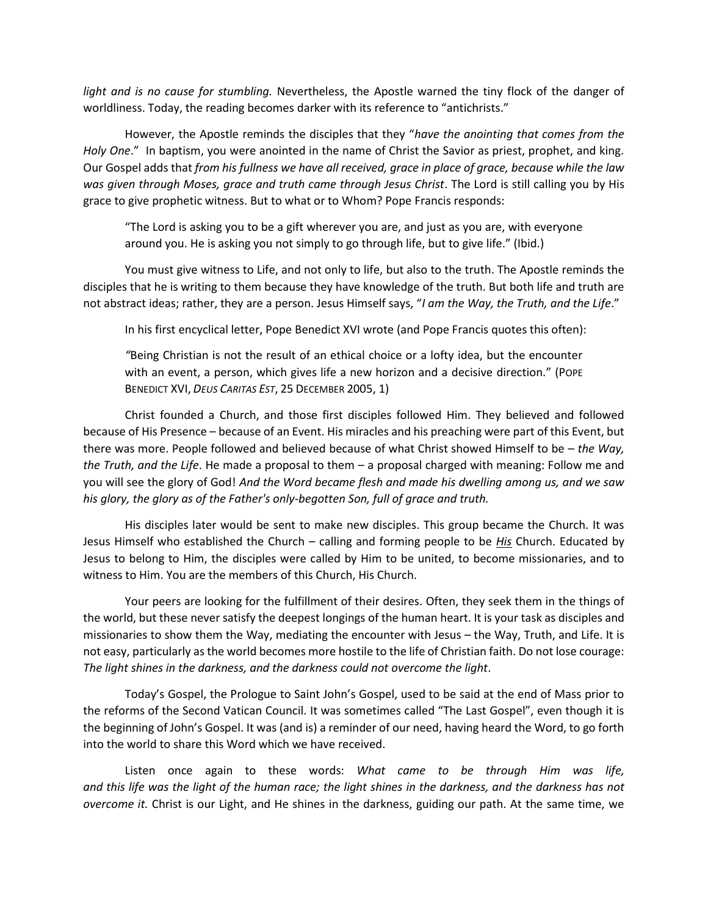*light and is no cause for stumbling.* Nevertheless, the Apostle warned the tiny flock of the danger of worldliness. Today, the reading becomes darker with its reference to "antichrists."

However, the Apostle reminds the disciples that they "*have the anointing that comes from the Holy One*." In baptism, you were anointed in the name of Christ the Savior as priest, prophet, and king. Our Gospel adds that *from his fullness we have all received, grace in place of grace, because while the law was given through Moses, grace and truth came through Jesus Christ*. The Lord is still calling you by His grace to give prophetic witness. But to what or to Whom? Pope Francis responds:

"The Lord is asking you to be a gift wherever you are, and just as you are, with everyone around you. He is asking you not simply to go through life, but to give life." (Ibid.)

You must give witness to Life, and not only to life, but also to the truth. The Apostle reminds the disciples that he is writing to them because they have knowledge of the truth. But both life and truth are not abstract ideas; rather, they are a person. Jesus Himself says, "*I am the Way, the Truth, and the Life*."

In his first encyclical letter, Pope Benedict XVI wrote (and Pope Francis quotes this often):

*"*Being Christian is not the result of an ethical choice or a lofty idea, but the encounter with an event, a person, which gives life a new horizon and a decisive direction." (POPE BENEDICT XVI, *DEUS CARITAS EST*, 25 DECEMBER 2005, 1)

Christ founded a Church, and those first disciples followed Him. They believed and followed because of His Presence – because of an Event. His miracles and his preaching were part of this Event, but there was more. People followed and believed because of what Christ showed Himself to be – *the Way, the Truth, and the Life*. He made a proposal to them – a proposal charged with meaning: Follow me and you will see the glory of God! *And the Word became flesh and made his dwelling among us, and we saw his glory, the glory as of the Father's only-begotten Son, full of grace and truth.*

His disciples later would be sent to make new disciples. This group became the Church. It was Jesus Himself who established the Church – calling and forming people to be *His* Church. Educated by Jesus to belong to Him, the disciples were called by Him to be united, to become missionaries, and to witness to Him. You are the members of this Church, His Church.

Your peers are looking for the fulfillment of their desires. Often, they seek them in the things of the world, but these never satisfy the deepest longings of the human heart. It is your task as disciples and missionaries to show them the Way, mediating the encounter with Jesus – the Way, Truth, and Life. It is not easy, particularly as the world becomes more hostile to the life of Christian faith. Do not lose courage: *The light shines in the darkness, and the darkness could not overcome the light*.

Today's Gospel, the Prologue to Saint John's Gospel, used to be said at the end of Mass prior to the reforms of the Second Vatican Council. It was sometimes called "The Last Gospel", even though it is the beginning of John's Gospel. It was (and is) a reminder of our need, having heard the Word, to go forth into the world to share this Word which we have received.

Listen once again to these words: *What came to be through Him was life, and this life was the light of the human race; the light shines in the darkness, and the darkness has not overcome it.* Christ is our Light, and He shines in the darkness, guiding our path. At the same time, we